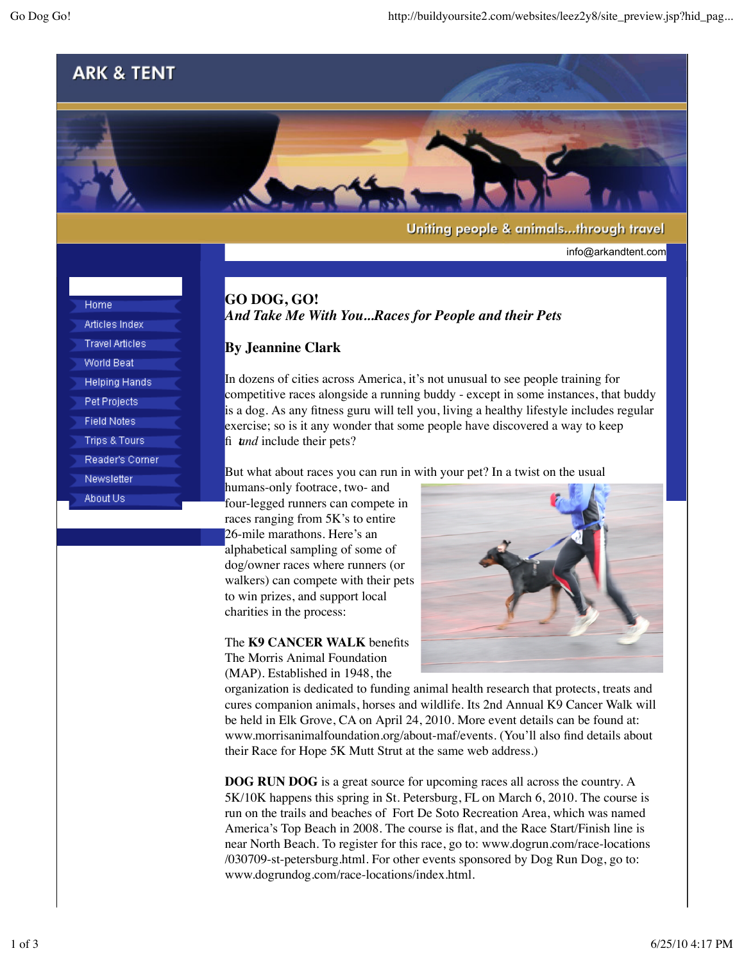## **ARK & TENT**



Uniting people & animals...through travel

info@arkandtent.com

Home Articles Index **Travel Articles World Beat Helping Hands** Pet Projects **Field Notes Trips & Tours** Reader's Corner Newsletter About Us

## **GO DOG, GO!** *And Take Me With You...Races for People and their Pets*

## **By Jeannine Clark**

In dozens of cities across America, it's not unusual to see people training for competitive races alongside a running buddy - except in some instances, that buddy is a dog. As any fitness guru will tell you, living a healthy lifestyle includes regular exercise; so is it any wonder that some people have discovered a way to keep fi *tund* include their pets?

But what about races you can run in with your pet? In a twist on the usual

humans-only footrace, two- and four-legged runners can compete in races ranging from 5K's to entire 26-mile marathons. Here's an alphabetical sampling of some of dog/owner races where runners (or walkers) can compete with their pets to win prizes, and support local charities in the process:

The **K9 CANCER WALK** benefits The Morris Animal Foundation (MAP). Established in 1948, the



organization is dedicated to funding animal health research that protects, treats and cures companion animals, horses and wildlife. Its 2nd Annual K9 Cancer Walk will be held in Elk Grove, CA on April 24, 2010. More event details can be found at: www.morrisanimalfoundation.org/about-maf/events. (You'll also find details about their Race for Hope 5K Mutt Strut at the same web address.)

**DOG RUN DOG** is a great source for upcoming races all across the country. A 5K/10K happens this spring in St. Petersburg, FL on March 6, 2010. The course is run on the trails and beaches of Fort De Soto Recreation Area, which was named America's Top Beach in 2008. The course is flat, and the Race Start/Finish line is near North Beach. To register for this race, go to: www.dogrun.com/race-locations /030709-st-petersburg.html. For other events sponsored by Dog Run Dog, go to: www.dogrundog.com/race-locations/index.html.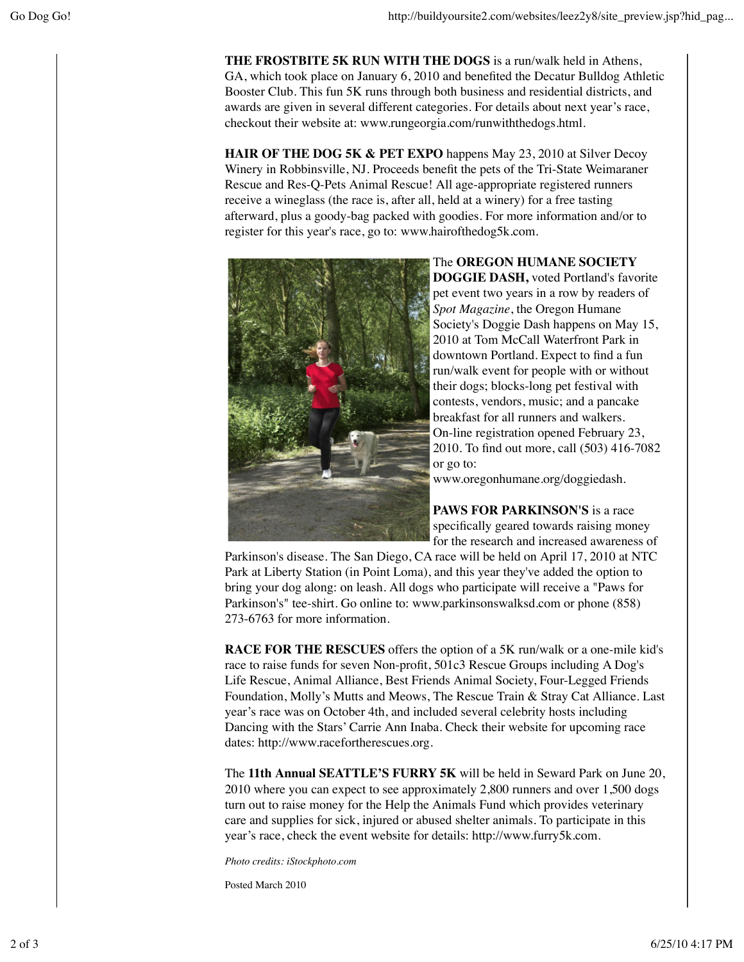**THE FROSTBITE 5K RUN WITH THE DOGS** is a run/walk held in Athens, GA, which took place on January 6, 2010 and benefited the Decatur Bulldog Athletic Booster Club. This fun 5K runs through both business and residential districts, and awards are given in several different categories. For details about next year's race, checkout their website at: www.rungeorgia.com/runwiththedogs.html.

**HAIR OF THE DOG 5K & PET EXPO** happens May 23, 2010 at Silver Decoy Winery in Robbinsville, NJ. Proceeds benefit the pets of the Tri-State Weimaraner Rescue and Res-Q-Pets Animal Rescue! All age-appropriate registered runners receive a wineglass (the race is, after all, held at a winery) for a free tasting afterward, plus a goody-bag packed with goodies. For more information and/or to register for this year's race, go to: www.hairofthedog5k.com.



The **OREGON HUMANE SOCIETY DOGGIE DASH,** voted Portland's favorite pet event two years in a row by readers of *Spot Magazine*, the Oregon Humane Society's Doggie Dash happens on May 15, 2010 at Tom McCall Waterfront Park in downtown Portland. Expect to find a fun run/walk event for people with or without their dogs; blocks-long pet festival with contests, vendors, music; and a pancake breakfast for all runners and walkers. On-line registration opened February 23, 2010. To find out more, call (503) 416-7082 or go to:

www.oregonhumane.org/doggiedash.

PAWS FOR PARKINSON'S is a race specifically geared towards raising money for the research and increased awareness of

Parkinson's disease. The San Diego, CA race will be held on April 17, 2010 at NTC Park at Liberty Station (in Point Loma), and this year they've added the option to bring your dog along: on leash. All dogs who participate will receive a "Paws for Parkinson's" tee-shirt. Go online to: www.parkinsonswalksd.com or phone (858) 273-6763 for more information.

**RACE FOR THE RESCUES** offers the option of a 5K run/walk or a one-mile kid's race to raise funds for seven Non-profit, 501c3 Rescue Groups including A Dog's Life Rescue, Animal Alliance, Best Friends Animal Society, Four-Legged Friends Foundation, Molly's Mutts and Meows, The Rescue Train & Stray Cat Alliance. Last year's race was on October 4th, and included several celebrity hosts including Dancing with the Stars' Carrie Ann Inaba. Check their website for upcoming race dates: http://www.racefortherescues.org.

The **11th Annual SEATTLE'S FURRY 5K** will be held in Seward Park on June 20, 2010 where you can expect to see approximately 2,800 runners and over 1,500 dogs turn out to raise money for the Help the Animals Fund which provides veterinary care and supplies for sick, injured or abused shelter animals. To participate in this year's race, check the event website for details: http://www.furry5k.com.

*Photo credits: iStockphoto.com*

Posted March 2010